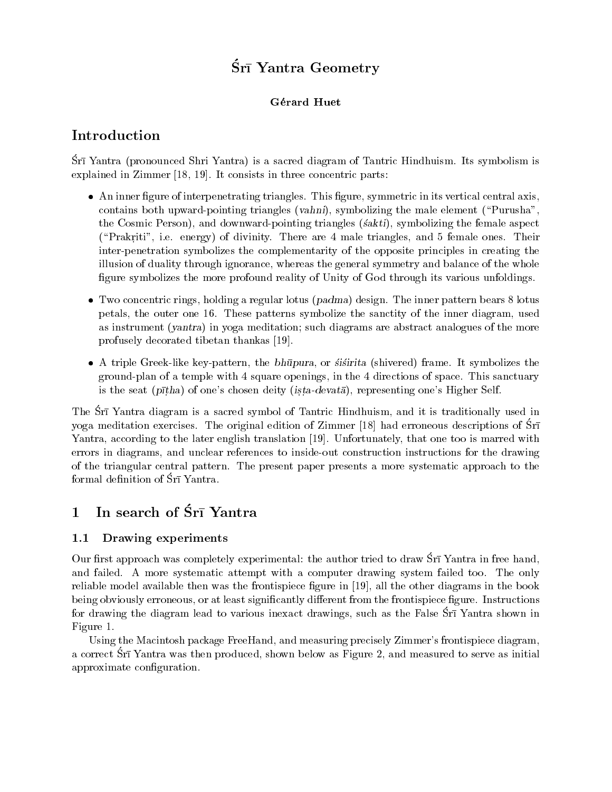# Śrī Yantra Geometry

### Gérard Huet

# Introduction

Srī Yantra (pronounced Shri Yantra) is a sacred diagram of Tantric Hindhuism. Its symbolism is explained in Zimmer [18, 19]. It consists in three concentric parts:

- An inner figure of interpenetrating triangles. This figure, symmetric in its vertical central axis, contains both upward-pointing triangles (vahni), symbolizing the male element ("Purusha". the Cosmic Person), and downward-pointing triangles *(sakti)*, symbolizing the female aspect ("Prakriti", i.e. energy) of divinity. There are 4 male triangles, and 5 female ones. Their inter-penetration symbolizes the complementarity of the opposite principles in creating the illusion of duality through ignorance, whereas the general symmetry and balance of the whole figure symbolizes the more profound reality of Unity of God through its various unfoldings.
- $\bullet$  Two concentric rings, holding a regular lotus (padma) design. The inner pattern bears 8 lotus petals, the outer one 16. These patterns symbolize the sanctity of the inner diagram, used as instrument (*yantra*) in yoga meditation; such diagrams are abstract analogues of the more profusely decorated tibetan thankas [19].
- A triple Greek-like key-pattern, the bhūpura, or stisting (shivered) frame. It symbolizes the ground-plan of a temple with 4 square openings, in the 4 directions of space. This sanctuary is the seat ( $p\bar{t}$ tha) of one's chosen deity (ista-devata), representing one's Higher Self.

The Srī Yantra diagram is a sacred symbol of Tantric Hindhuism, and it is traditionally used in yoga meditation exercises. The original edition of Zimmer [18] had erroneous descriptions of  $\overline{S}r\overline{s}$ Yantra, according to the later english translation [19]. Unfortunately, that one too is marred with errors in diagrams, and unclear references to inside-out construction instructions for the drawing of the triangular central pattern. The present paper presents a more systematic approach to the formal definition of  $\overline{S}r\overline{l}$  Yantra.

#### In search of Sr<sub>1</sub> Yantra  $\mathbf 1$

#### $1.1$ Drawing experiments

Our first approach was completely experimental: the author tried to draw Srī Yantra in free hand. and failed. A more systematic attempt with a computer drawing system failed too. The only reliable model available then was the frontispiece figure in [19], all the other diagrams in the book being obviously erroneous, or at least significantly different from the frontispiece figure. Instructions for drawing the diagram lead to various inexact drawings, such as the False Sri Yantra shown in Figure 1.

Using the Macintosh package FreeHand, and measuring precisely Zimmer's frontispiece diagram. a correct Srī Yantra was then produced, shown below as Figure 2, and measured to serve as initial approximate configuration.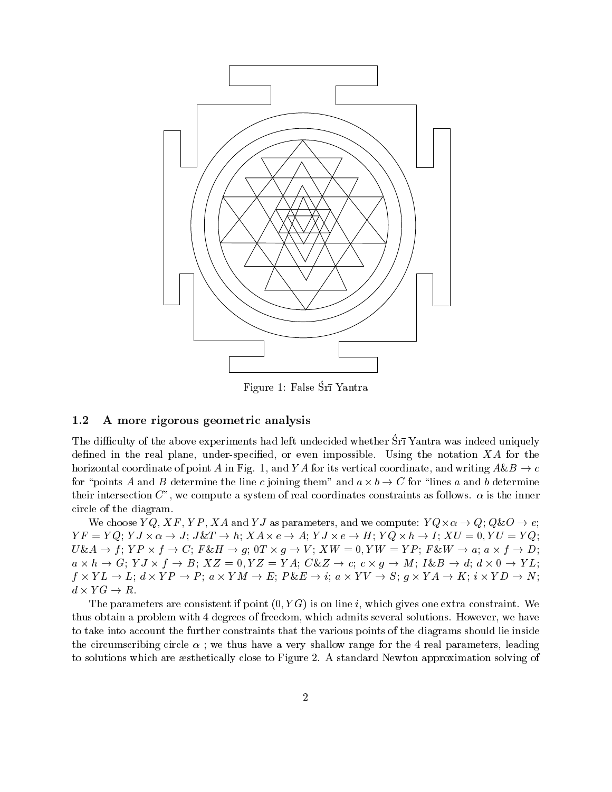

Figure 1: False Śrī Yantra

#### $1.2$ A more rigorous geometric analysis

The difficulty of the above experiments had left undecided whether Sri Yantra was indeed uniquely defined in the real plane, under-specified, or even impossible. Using the notation  $XA$  for the horizontal coordinate of point A in Fig. 1, and Y A for its vertical coordinate, and writing  $A\&B \rightarrow c$ for "points A and B determine the line c joining them" and  $a \times b \to C$  for "lines a and b determine their intersection C", we compute a system of real coordinates constraints as follows.  $\alpha$  is the inner circle of the diagram.

We choose  $YQ, XF, YP, XA$  and Y J as parameters, and we compute:  $YQ \times \alpha \rightarrow Q$ ;  $Q\&O \rightarrow e$ ;  $YF = YQ$ ;  $YJ \times \alpha \rightarrow J$ ;  $J \& T \rightarrow h$ ;  $XA \times e \rightarrow A$ ;  $YJ \times e \rightarrow H$ ;  $YQ \times h \rightarrow I$ ;  $XU = 0$ ,  $YU = YQ$ ;  $U\&A \to f$ ;  $YP \times f \to C$ ;  $F\&H \to g$ ;  $0T \times g \to V$ ;  $XW = 0$ ,  $YW = YP$ ;  $F\&W \to a$ ;  $a \times f \to D$ ;  $a \times h \to G$ ;  $YJ \times f \to B$ ;  $XZ = 0, YZ = YA$ ;  $C\&Z \to c$ ;  $c \times g \to M$ ;  $I\&B \to d$ ;  $d \times 0 \to YL$ ;  $f \times YL \to L$ ;  $d \times YP \to P$ ;  $a \times YM \to E$ ;  $P\&E \to i$ ;  $a \times YV \to S$ ;  $g \times YA \to K$ ;  $i \times YD \to N$ ;  $d \times YG \to R$ .

The parameters are consistent if point  $(0, YG)$  is on line i, which gives one extra constraint. We thus obtain a problem with 4 degrees of freedom, which admits several solutions. However, we have to take into account the further constraints that the various points of the diagrams should lie inside the circumscribing circle  $\alpha$ ; we thus have a very shallow range for the 4 real parameters, leading to solutions which are exitetically close to Figure 2. A standard Newton approximation solving of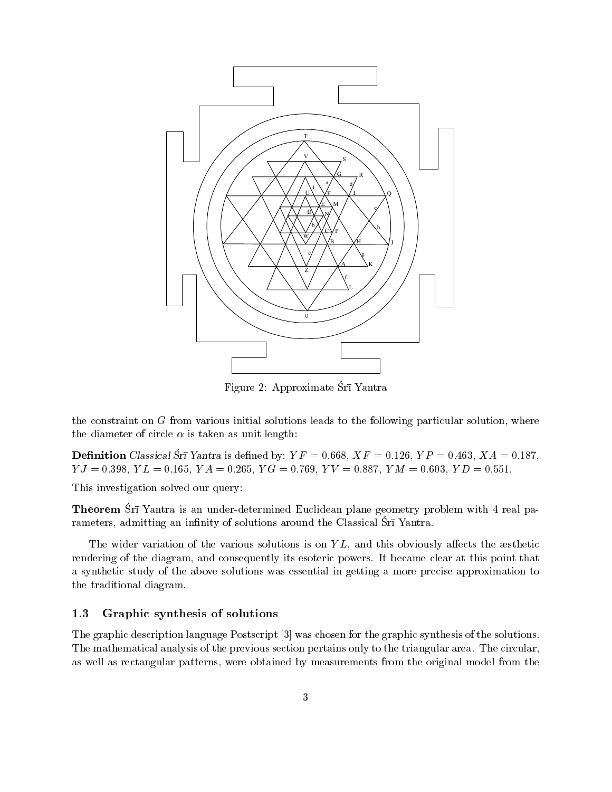

Figure 2: Approximate Śrī Yantra

the constraint on G from various initial solutions leads to the following particular solution, where the diameter of circle  $\alpha$  is taken as unit length:

**Definition** Classical Srī Yantra is defined by:  $YF = 0.668$ ,  $XF = 0.126$ ,  $YP = 0.463$ ,  $XA = 0.187$ ,  $YJ = 0.398$ ,  $YL = 0.165$ ,  $YA = 0.265$ ,  $YG = 0.769$ ,  $YV = 0.887$ ,  $YM = 0.603$ ,  $YD = 0.551$ .

This investigation solved our query:

**Theorem** Srī Yantra is an under-determined Euclidean plane geometry problem with 4 real parameters, admitting an infinity of solutions around the Classical Srī Yantra.

The wider variation of the various solutions is on  $YL$ , and this obviously affects the asthetic rendering of the diagram, and consequently its esoteric powers. It became clear at this point that a synthetic study of the above solutions was essential in getting a more precise approximation to the traditional diagram.

#### 1.3 Graphic synthesis of solutions

The graphic description language Postscript [3] was chosen for the graphic synthesis of the solutions. The mathematical analysis of the previous section pertains only to the triangular area. The circular, as well as rectangular patterns, were obtained by measurements from the original model from the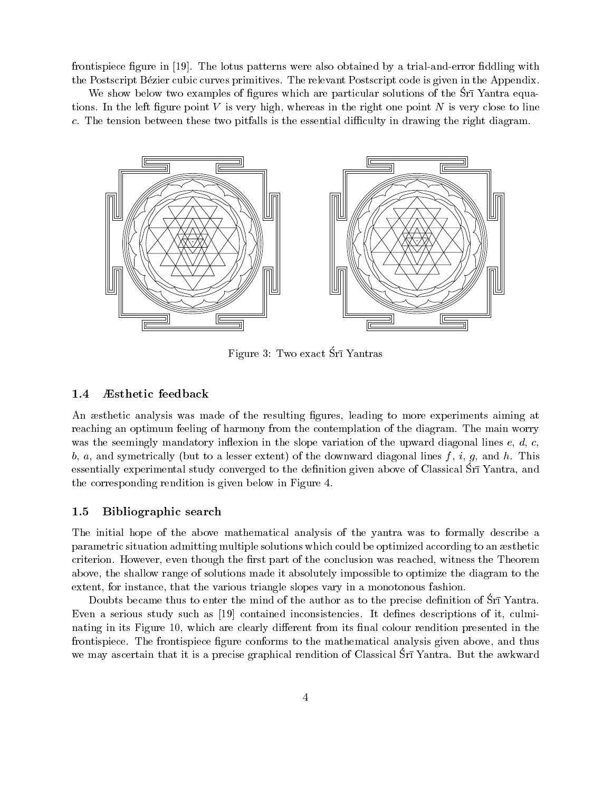frontispiece figure in [19]. The lotus patterns were also obtained by a trial-and-error fiddling with the Postscript Bézier cubic curves primitives. The relevant Postscript code is given in the Appendix.

We show below two examples of figures which are particular solutions of the Srī Yantra equations. In the left figure point  $V$  is very high, whereas in the right one point  $N$  is very close to line c. The tension between these two pitfalls is the essential difficulty in drawing the right diagram.



Figure 3: Two exact Sri Yantras

#### $1.4$ Æsthetic feedback

An æsthetic analysis was made of the resulting figures, leading to more experiments aiming at reaching an optimum feeling of harmony from the contemplation of the diagram. The main worry was the seemingly mandatory inflexion in the slope variation of the upward diagonal lines  $e, d, c$ , b, a, and symetrically (but to a lesser extent) of the downward diagonal lines  $f, i, g$ , and h. This essentially experimental study converged to the definition given above of Classical Sri Yantra, and the corresponding rendition is given below in Figure 4.

#### $1.5$ Bibliographic search

The initial hope of the above mathematical analysis of the vantra was to formally describe a parametric situation admitting multiple solutions which could be optimized according to an aesthetic criterion. However, even though the first part of the conclusion was reached, witness the Theorem above, the shallow range of solutions made it absolutely impossible to optimize the diagram to the extent, for instance, that the various triangle slopes vary in a monotonous fashion.

Doubts became thus to enter the mind of the author as to the precise definition of Sri Yantra. Even a serious study such as [19] contained inconsistencies. It defines descriptions of it, culminating in its Figure 10, which are clearly different from its final colour rendition presented in the frontispiece. The frontispiece figure conforms to the mathematical analysis given above, and thus we may ascertain that it is a precise graphical rendition of Classical Srī Yantra. But the awkward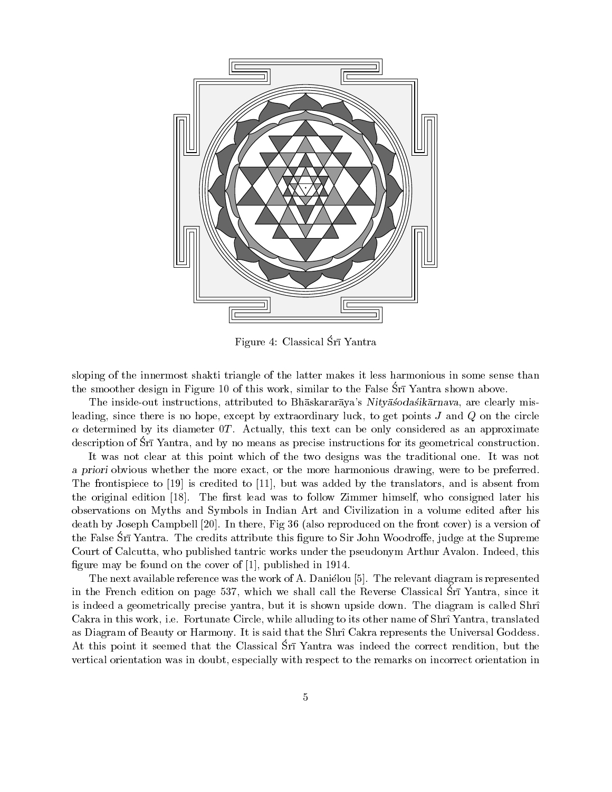

Figure 4: Classical Srī Yantra

sloping of the innermost shakti triangle of the latter makes it less harmonious in some sense than the smoother design in Figure 10 of this work, similar to the False Sri Yantra shown above.

The inside-out instructions, attributed to Bhaskararaya's Nityasodasikarnaya, are clearly misleading, since there is no hope, except by extraordinary luck, to get points  $J$  and  $Q$  on the circle  $\alpha$  determined by its diameter OT. Actually, this text can be only considered as an approximate description of Srī Yantra, and by no means as precise instructions for its geometrical construction.

It was not clear at this point which of the two designs was the traditional one. It was not a priori obvious whether the more exact, or the more harmonious drawing, were to be preferred. The frontispiece to  $[19]$  is credited to  $[11]$ , but was added by the translators, and is absent from the original edition [18]. The first lead was to follow Zimmer himself, who consigned later his observations on Myths and Symbols in Indian Art and Civilization in a volume edited after his death by Joseph Campbell [20]. In there, Fig 36 (also reproduced on the front cover) is a version of the False Srī Yantra. The credits attribute this figure to Sir John Woodroffe, judge at the Supreme Court of Calcutta, who published tantric works under the pseudonym Arthur Avalon. Indeed, this figure may be found on the cover of  $[1]$ , published in 1914.

The next available reference was the work of A. Danielou [5]. The relevant diagram is represented in the French edition on page 537, which we shall call the Reverse Classical Srī Yantra, since it is indeed a geometrically precise yantra, but it is shown upside down. The diagram is called Shri Cakra in this work, i.e. Fortunate Circle, while alluding to its other name of Shri Yantra, translated as Diagram of Beauty or Harmony. It is said that the Shrî Cakra represents the Universal Goddess. At this point it seemed that the Classical Sri Yantra was indeed the correct rendition, but the vertical orientation was in doubt, especially with respect to the remarks on incorrect orientation in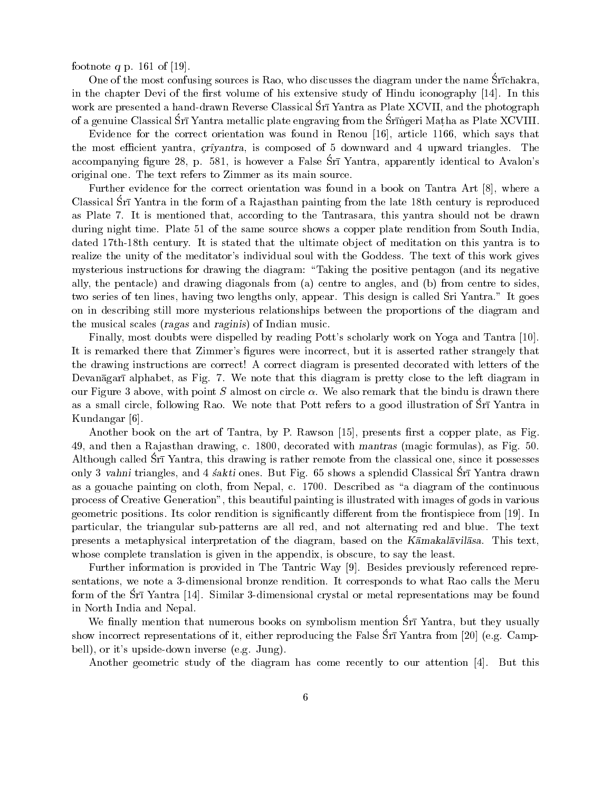footnote q p. 161 of [19].

One of the most confusing sources is Rao, who discusses the diagram under the name Srīchakra. in the chapter Devi of the first volume of his extensive study of Hindu iconography [14]. In this work are presented a hand-drawn Reverse Classical Sri Yantra as Plate XCVII, and the photograph of a genuine Classical Srī Yantra metallic plate engraving from the Srīngeri Matha as Plate XCVIII.

Evidence for the correct orientation was found in Renou [16], article 1166, which says that the most efficient yantra, *criyantra*, is composed of 5 downward and 4 upward triangles. The accompanying figure 28, p. 581, is however a False Sri Yantra, apparently identical to Avalon's original one. The text refers to Zimmer as its main source.

Further evidence for the correct orientation was found in a book on Tantra Art [8], where a Classical Srī Yantra in the form of a Rajasthan painting from the late 18th century is reproduced as Plate 7. It is mentioned that, according to the Tantrasara, this yantra should not be drawn during night time. Plate 51 of the same source shows a copper plate rendition from South India. dated 17th-18th century. It is stated that the ultimate object of meditation on this yantra is to realize the unity of the meditator's individual soul with the Goddess. The text of this work gives mysterious instructions for drawing the diagram: "Taking the positive pentagon (and its negative ally, the pentacle) and drawing diagonals from (a) centre to angles, and (b) from centre to sides. two series of ten lines, having two lengths only, appear. This design is called Sri Yantra." It goes on in describing still more mysterious relationships between the proportions of the diagram and the musical scales (ragas and raginis) of Indian music.

Finally, most doubts were dispelled by reading Pott's scholarly work on Yoga and Tantra [10]. It is remarked there that Zimmer's figures were incorrect, but it is asserted rather strangely that the drawing instructions are correct! A correct diagram is presented decorated with letters of the Devanāgarī alphabet, as Fig. 7. We note that this diagram is pretty close to the left diagram in our Figure 3 above, with point S almost on circle  $\alpha$ . We also remark that the bindu is drawn there as a small circle, following Rao. We note that Pott refers to a good illustration of Srī Yantra in Kundangar [6].

Another book on the art of Tantra, by P. Rawson [15], presents first a copper plate, as Fig. 49, and then a Rajasthan drawing, c. 1800, decorated with mantras (magic formulas), as Fig. 50. Although called Srī Yantra, this drawing is rather remote from the classical one, since it possesses only 3 vahni triangles, and 4 sakti ones. But Fig. 65 shows a splendid Classical Sri Yantra drawn as a gouache painting on cloth, from Nepal, c. 1700. Described as "a diagram of the continuous process of Creative Generation", this beautiful painting is illustrated with images of gods in various geometric positions. Its color rendition is significantly different from the frontispiece from [19]. In particular, the triangular sub-patterns are all red, and not alternating red and blue. The text presents a metaphysical interpretation of the diagram, based on the Kamakalavilasa. This text. whose complete translation is given in the appendix, is obscure, to say the least.

Further information is provided in The Tantric Way [9]. Besides previously referenced representations, we note a 3-dimensional bronze rendition. It corresponds to what Rao calls the Meru form of the Srī Yantra [14]. Similar 3-dimensional crystal or metal representations may be found in North India and Nepal.

We finally mention that numerous books on symbolism mention Srī Yantra, but they usually show incorrect representations of it, either reproducing the False  $\rm SrI$  Yantra from [20] (e.g. Campbell), or it's upside-down inverse (e.g. Jung).

Another geometric study of the diagram has come recently to our attention [4]. But this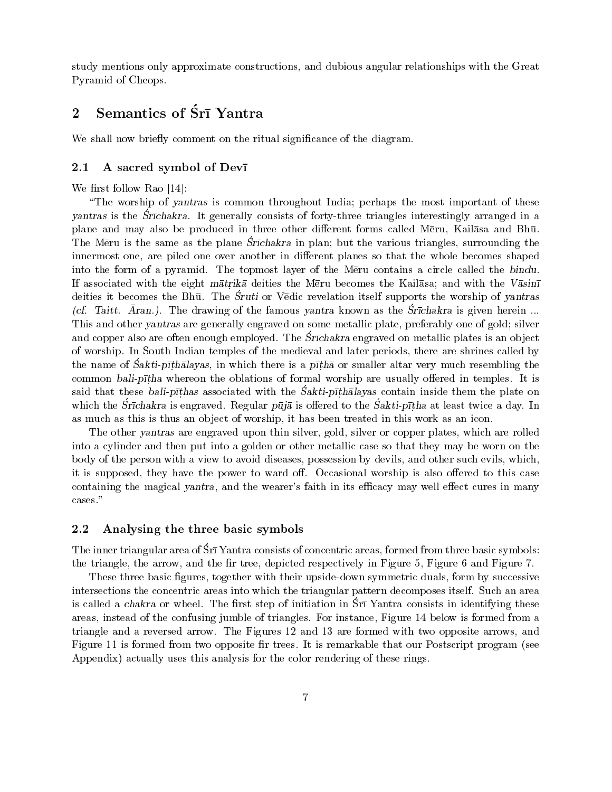study mentions only approximate constructions, and dubious angular relationships with the Great Pyramid of Cheops.

#### Semantics of Srī Yantra  $\overline{2}$

We shall now briefly comment on the ritual significance of the diagram.

#### A sacred symbol of Devi 2.1

We first follow Rao  $[14]$ :

"The worship of yantras is common throughout India; perhaps the most important of these vantras is the Structure I americally consists of forty-three triangles interestingly arranged in a plane and may also be produced in three other different forms called Meru, Kailasa and Bhū. The Meru is the same as the plane Strichakra in plan; but the various triangles, surrounding the innermost one, are piled one over another in different planes so that the whole becomes shaped into the form of a pyramid. The topmost layer of the Meru contains a circle called the bindu. If associated with the eight matrika deities the Meru becomes the Kailasa; and with the Vasini deities it becomes the Bhū. The Sruti or Vedic revelation itself supports the worship of yantras (cf. Taitt.  $\bar{A}$ ran.). The drawing of the famous yantra known as the Strichakra is given herein... This and other yantras are generally engraved on some metallic plate, preferably one of gold; silver and copper also are often enough employed. The Srichakra engraved on metallic plates is an object of worship. In South Indian temples of the medieval and later periods, there are shrines called by the name of Sakti-pithalayas, in which there is a pitha or smaller altar very much resembling the common bali-pitha whereon the oblations of formal worship are usually offered in temples. It is said that these bali-prichas associated with the Sakti-pribalayas contain inside them the plate on which the Strichakra is engraved. Regular  $p\bar{u}j\bar{a}$  is offered to the Sakti-pitha at least twice a day. In as much as this is thus an object of worship, it has been treated in this work as an icon.

The other vantras are engraved upon thin silver, gold, silver or copper plates, which are rolled into a cylinder and then put into a golden or other metallic case so that they may be worn on the body of the person with a view to avoid diseases, possession by devils, and other such evils, which. it is supposed, they have the power to ward off. Occasional worship is also offered to this case containing the magical yantra, and the wearer's faith in its efficacy may well effect cures in many cases."

#### 2.2 Analysing the three basic symbols

The inner triangular area of Srī Yantra consists of concentric areas, formed from three basic symbols: the triangle, the arrow, and the fir tree, depicted respectively in Figure 5, Figure 6 and Figure 7.

These three basic figures, together with their upside-down symmetric duals, form by successive intersections the concentric areas into which the triangular pattern decomposes itself. Such an area is called a *chakra* or wheel. The first step of initiation in Sr<sub>1</sub> Yantra consists in identifying these areas, instead of the confusing jumble of triangles. For instance, Figure 14 below is formed from a triangle and a reversed arrow. The Figures 12 and 13 are formed with two opposite arrows, and Figure 11 is formed from two opposite fir trees. It is remarkable that our Postscript program (see Appendix) actually uses this analysis for the color rendering of these rings.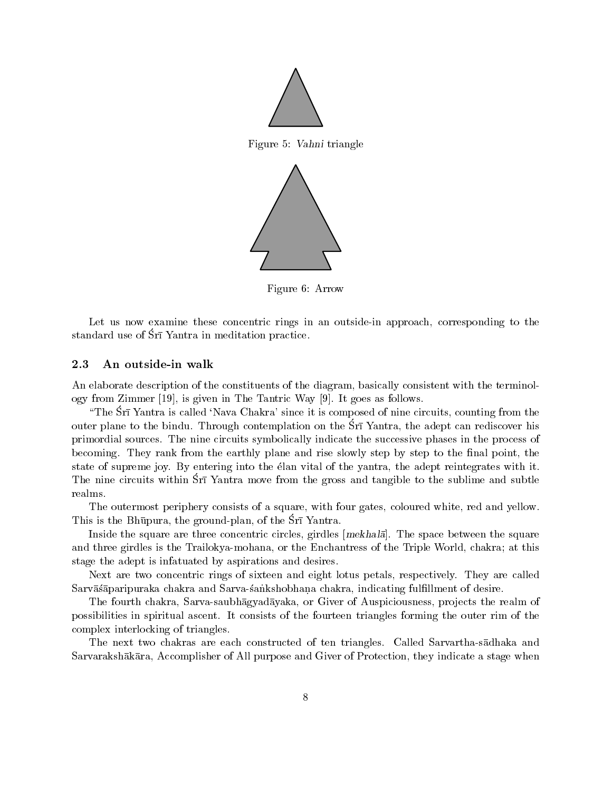

Figure 5: Vahni triangle



Figure 6: Arrow

Let us now examine these concentric rings in an outside-in approach, corresponding to the standard use of Sri Yantra in meditation practice.

#### 2.3 An outside-in walk

An elaborate description of the constituents of the diagram, basically consistent with the terminology from Zimmer [19], is given in The Tantric Way [9]. It goes as follows.

"The Srī Yantra is called 'Nava Chakra' since it is composed of nine circuits, counting from the outer plane to the bindu. Through contemplation on the Srī Yantra, the adept can rediscover his primordial sources. The nine circuits symbolically indicate the successive phases in the process of becoming. They rank from the earthly plane and rise slowly step by step to the final point, the state of supreme joy. By entering into the élan vital of the yantra, the adept reintegrates with it. The nine circuits within Sri Yantra move from the gross and tangible to the sublime and subtle realms.

The outermost periphery consists of a square, with four gates, coloured white, red and yellow. This is the Bhūpura, the ground-plan, of the Srī Yantra.

Inside the square are three concentric circles, girdles [mekhala]. The space between the square and three girdles is the Trailokya-mohana, or the Enchantress of the Triple World, chakra; at this stage the adept is infatuated by aspirations and desires.

Next are two concentric rings of sixteen and eight lotus petals, respectively. They are called Sarvāsaparipuraka chakra and Sarva-sankshobhana chakra, indicating fulfillment of desire.

The fourth chakra, Sarva-saubhagyadayaka, or Giver of Auspiciousness, projects the realm of possibilities in spiritual ascent. It consists of the fourteen triangles forming the outer rim of the complex interlocking of triangles.

The next two chakras are each constructed of ten triangles. Called Sarvartha-sadhaka and Sarvarakshākāra, Accomplisher of All purpose and Giver of Protection, they indicate a stage when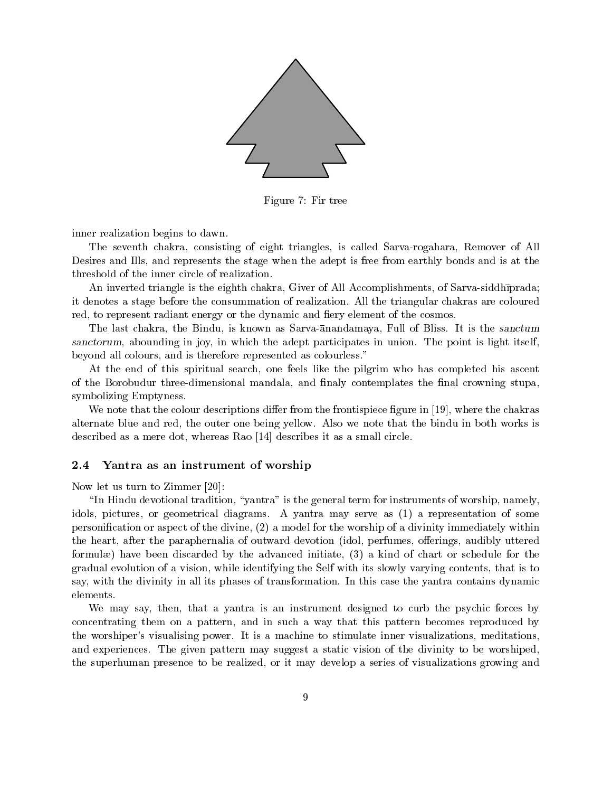

Figure 7: Fir tree

inner realization begins to dawn.

The seventh chakra, consisting of eight triangles, is called Sarva-rogahara, Remover of All Desires and Ills, and represents the stage when the adept is free from earthly bonds and is at the threshold of the inner circle of realization.

An inverted triangle is the eighth chakra, Giver of All Accomplishments, of Sarva-siddhiprada it denotes a stage before the consummation of realization. All the triangular chakras are coloured red, to represent radiant energy or the dynamic and fiery element of the cosmos.

The last chakra, the Bindu, is known as Sarva-anandamaya, Full of Bliss. It is the sanctum sanctorum, abounding in joy, in which the adept participates in union. The point is light itself. beyond all colours, and is therefore represented as colourless."

At the end of this spiritual search, one feels like the pilgrim who has completed his ascent of the Borobudur three-dimensional mandala, and finaly contemplates the final crowning stupa, symbolizing Emptyness.

We note that the colour descriptions differ from the frontispiece figure in [19], where the chakras alternate blue and red, the outer one being yellow. Also we note that the bindu in both works is described as a mere dot, whereas Rao [14] describes it as a small circle.

#### $2.4\,$ Yantra as an instrument of worship

Now let us turn to Zimmer  $[20]$ :

"In Hindu devotional tradition, "yantra" is the general term for instruments of worship, namely. idols, pictures, or geometrical diagrams. A yantra may serve as (1) a representation of some personification or aspect of the divine, (2) a model for the worship of a divinity immediately within the heart, after the paraphernalia of outward devotion (idol, perfumes, offerings, audibly uttered formulæ) have been discarded by the advanced initiate, (3) a kind of chart or schedule for the gradual evolution of a vision, while identifying the Self with its slowly varying contents, that is to say, with the divinity in all its phases of transformation. In this case the yantra contains dynamic elements.

We may say, then, that a yantra is an instrument designed to curb the psychic forces by concentrating them on a pattern, and in such a way that this pattern becomes reproduced by the worshiper's visualising power. It is a machine to stimulate inner visualizations, meditations. and experiences. The given pattern may suggest a static vision of the divinity to be worshiped. the superhuman presence to be realized, or it may develop a series of visualizations growing and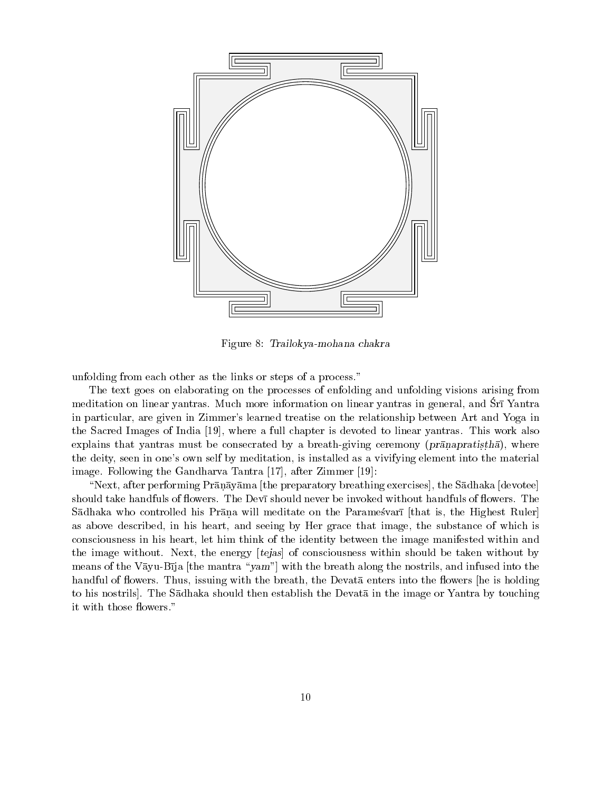

Figure 8: Trailokya-mohana chakra

unfolding from each other as the links or steps of a process."

The text goes on elaborating on the processes of enfolding and unfolding visions arising from meditation on linear yantras. Much more information on linear yantras in general, and Srī Yantra in particular, are given in Zimmer's learned treatise on the relationship between Art and Yoga in the Sacred Images of India [19], where a full chapter is devoted to linear yantras. This work also explains that yantras must be consecrated by a breath-giving ceremony ( $pr\bar{a}$ napratistha), where the deity, seen in one's own self by meditation, is installed as a vivifying element into the material image. Following the Gandharva Tantra [17], after Zimmer [19]:

"Next, after performing Prānāyāma [the preparatory breathing exercises], the Sādhaka [devotee] should take handfuls of flowers. The Devi should never be invoked without handfuls of flowers. The Sādhaka who controlled his Prāņa will meditate on the Paramesvarī [that is, the Highest Ruler] as above described, in his heart, and seeing by Her grace that image, the substance of which is consciousness in his heart, let him think of the identity between the image manifested within and the image without. Next, the energy [tejas] of consciousness within should be taken without by means of the Vayu-Bija [the mantra "yam"] with the breath along the nostrils, and infused into the handful of flowers. Thus, issuing with the breath, the Devata enters into the flowers he is holding to his nostrils. The Sadhaka should then establish the Devata in the image or Yantra by touching it with those flowers."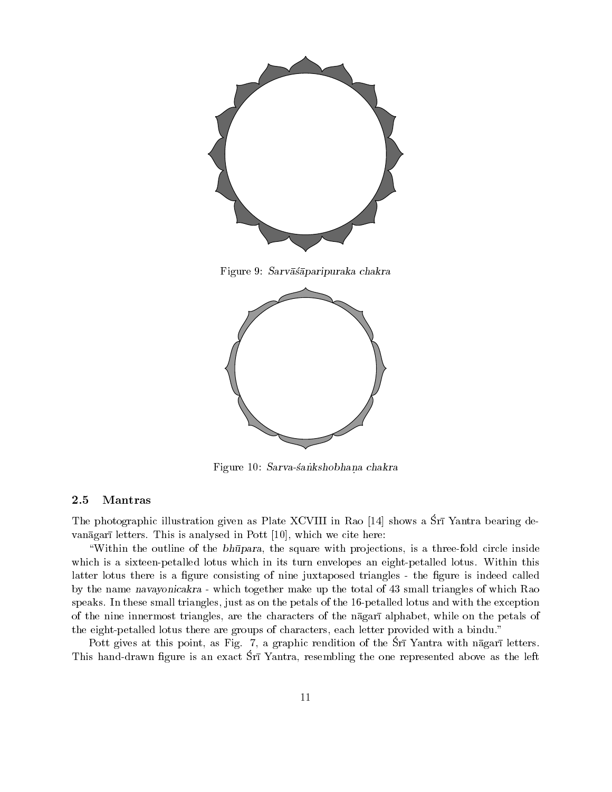

Figure 10: Sarva-sankshobhana chakra

#### Mantras 2.5

The photographic illustration given as Plate XCVIII in Rao [14] shows a Srī Yantra bearing de vanāgarī letters. This is analysed in Pott [10], which we cite here:

"Within the outline of the bhūpara, the square with projections, is a three-fold circle inside which is a sixteen-petalled lotus which in its turn envelopes an eight-petalled lotus. Within this latter lotus there is a figure consisting of nine juxtaposed triangles - the figure is indeed called by the name navayonicakra - which together make up the total of 43 small triangles of which Rao speaks. In these small triangles, just as on the petals of the 16-petalled lotus and with the exception of the nine innermost triangles, are the characters of the nagarialphabet, while on the petals of the eight-petalled lotus there are groups of characters, each letter provided with a bindu."

Pott gives at this point, as Fig. 7, a graphic rendition of the Sri Yantra with nagari letters. This hand-drawn figure is an exact Sri Yantra, resembling the one represented above as the left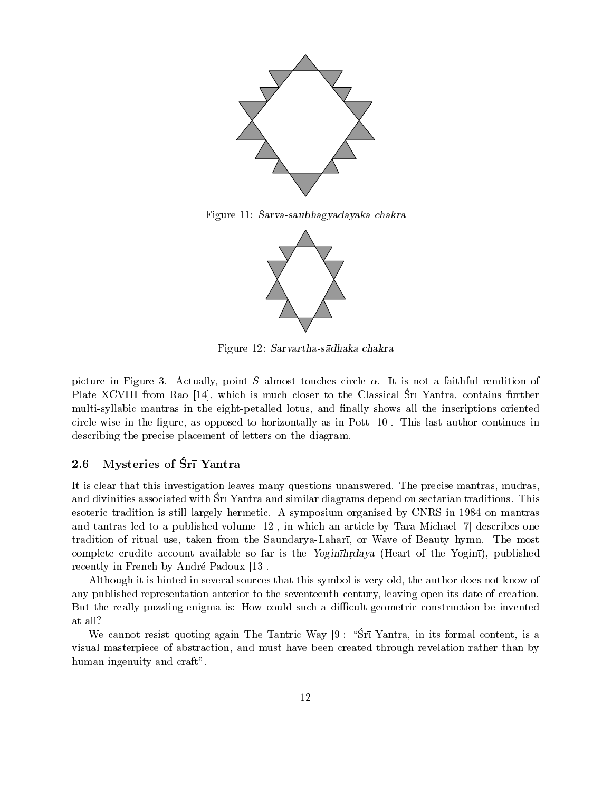

Figure 11: Sarva-saubhāgyadāyaka chakra



Figure 12: Sarvartha-sadhaka chakra

picture in Figure 3. Actually, point  $S$  almost touches circle  $\alpha$ . It is not a faithful rendition of Plate XCVIII from Rao [14], which is much closer to the Classical Sri Yantra, contains further multi-syllabic mantras in the eight-petalled lotus, and finally shows all the inscriptions oriented circle-wise in the figure, as opposed to horizontally as in Pott [10]. This last author continues in describing the precise placement of letters on the diagram.

#### Mysteries of Śrī Yantra 2.6

It is clear that this investigation leaves many questions unanswered. The precise mantras, mudras, and divinities associated with Srī Yantra and similar diagrams depend on sectarian traditions. This esoteric tradition is still largely hermetic. A symposium organised by CNRS in 1984 on mantras and tantras led to a published volume [12], in which an article by Tara Michael [7] describes one tradition of ritual use, taken from the Saundarya-Lahari, or Wave of Beauty hymn. The most complete erudite account available so far is the Yoginihrdaya (Heart of the Yogini), published recently in French by André Padoux [13].

Although it is hinted in several sources that this symbol is very old, the author does not know of any published representation anterior to the seventeenth century, leaving open its date of creation. But the really puzzling enigma is: How could such a difficult geometric construction be invented at all?

We cannot resist quoting again The Tantric Way [9]: "Srī Yantra, in its formal content, is a visual masterpiece of abstraction, and must have been created through revelation rather than by human ingenuity and craft".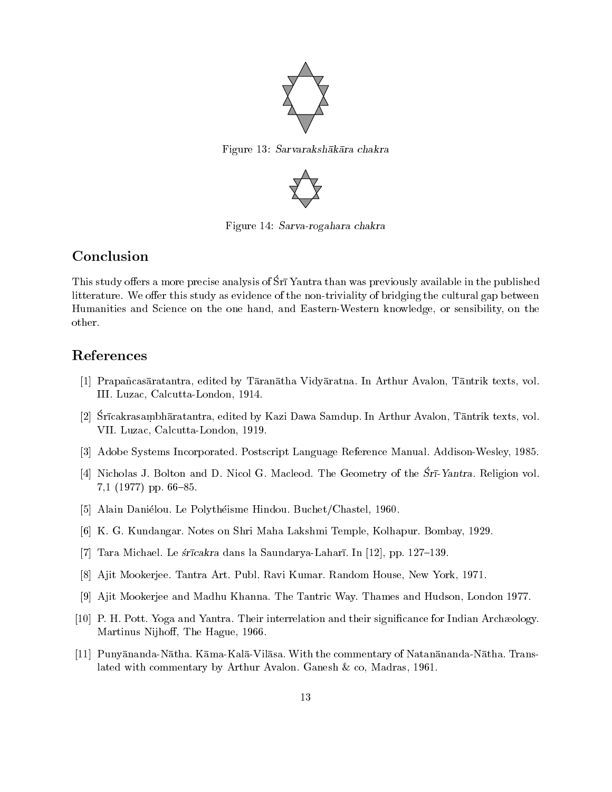

Figure 13: Sarvarakshākāra chakra



Figure 14: Sarva-rogahara chakra

# Conclusion

This study offers a more precise analysis of Sri Yantra than was previously available in the published litterature. We offer this study as evidence of the non-triviality of bridging the cultural gap between Humanities and Science on the one hand, and Eastern-Western knowledge, or sensibility, on the other.

### References

- [1] Prapañcasāratantra, edited by Tāranātha Vidyāratna. In Arthur Avalon, Tāntrik texts, vol. III. Luzac, Calcutta-London, 1914.
- [2] Srīcakrasambhāratantra, edited by Kazi Dawa Samdup. In Arthur Avalon, Tāntrik texts, vol. VII. Luzac, Calcutta-London, 1919.
- [3] Adobe Systems Incorporated. Postscript Language Reference Manual. Addison-Wesley, 1985.
- [4] Nicholas J. Bolton and D. Nicol G. Macleod. The Geometry of the Sr<sub>I</sub>-Yantra. Religion vol. 7.1  $(1977)$  pp. 66-85.
- [5] Alain Daniélou. Le Polythéisme Hindou. Buchet/Chastel, 1960.
- [6] K. G. Kundangar. Notes on Shri Maha Lakshmi Temple, Kolhapur. Bombay, 1929.
- [7] Tara Michael. Le strīcakra dans la Saundarya-Laharī. In [12], pp. 127–139.
- [8] Ajit Mookerjee. Tantra Art. Publ. Ravi Kumar. Random House, New York, 1971.
- [9] Ajit Mookerjee and Madhu Khanna. The Tantric Way. Thames and Hudson, London 1977.
- [10] P. H. Pott. Yoga and Yantra. Their interrelation and their significance for Indian Archaeology. Martinus Nijhoff, The Hague, 1966.
- [11] Punyānanda-Nātha. Kāma-Kalā-Vilāsa. With the commentary of Natanānanda-Nātha. Translated with commentary by Arthur Avalon. Ganesh & co, Madras, 1961.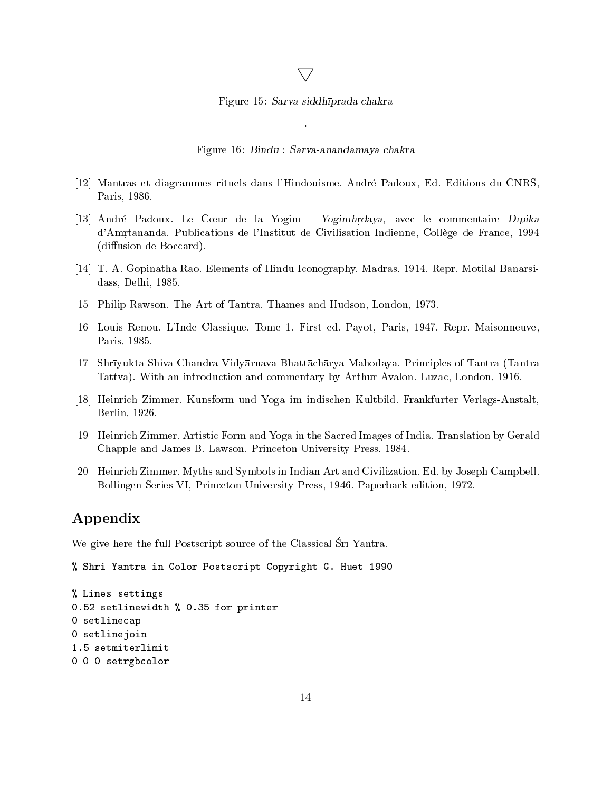### $\bigtriangledown$

Figure 15: Sarva-siddhīprada chakra

Figure 16: Bindu : Sarva-ānandamaya chakra

- [12] Mantras et diagrammes rituels dans l'Hindouisme. André Padoux, Ed. Editions du CNRS, Paris, 1986.
- [13] André Padoux. Le Cœur de la Yoginī Yoginīhrdaya, avec le commentaire Dīpikā d'Amrtananda. Publications de l'Institut de Civilisation Indienne, Collège de France, 1994 (diffusion de Boccard).
- [14] T. A. Gopinatha Rao. Elements of Hindu Iconography. Madras, 1914. Repr. Motilal Banarsidass, Delhi, 1985.
- [15] Philip Rawson. The Art of Tantra. Thames and Hudson, London, 1973.
- [16] Louis Renou. L'Inde Classique. Tome 1. First ed. Payot, Paris, 1947. Repr. Maisonneuve, Paris, 1985.
- [17] Shrīyukta Shiva Chandra Vidyārnava Bhattāchārya Mahodaya. Principles of Tantra (Tantra Tattva). With an introduction and commentary by Arthur Avalon. Luzac, London, 1916.
- [18] Heinrich Zimmer. Kunsform und Yoga im indischen Kultbild. Frankfurter Verlags-Anstalt. Berlin, 1926.
- [19] Heinrich Zimmer. Artistic Form and Yoga in the Sacred Images of India. Translation by Gerald Chapple and James B. Lawson. Princeton University Press, 1984.
- [20] Heinrich Zimmer. Myths and Symbols in Indian Art and Civilization. Ed. by Joseph Campbell. Bollingen Series VI, Princeton University Press, 1946. Paperback edition, 1972.

## Appendix

We give here the full Postscript source of the Classical Srī Yantra.

```
% Shri Yantra in Color Postscript Copyright G. Huet 1990
```

```
% Lines settings
0.52 setlinewidth % 0.35 for printer
0 setlinecap
0 setlinejoin
1.5 setmiterlimit
0 0 0 setrgbcolor
```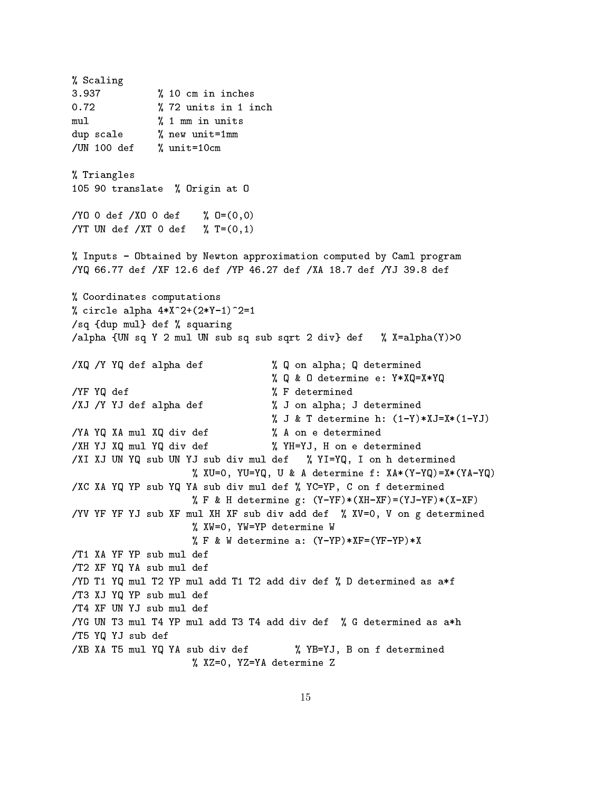% Scaling 3.937 % 10 cm in inches  $0.72$ % 72 units in 1 inch  $% 1$  mm in units  $mu1$ dup scale % new unit=1mm /UN 100 def  $%$  unit=10cm % Triangles 105 90 translate % Origin at 0  $/$ YO O def  $/$ XO O def  $\sqrt[6]{0} = (0, 0)$ /YT UN def /XT 0 def  $\frac{9}{6}$  T=(0,1) % Inputs - Obtained by Newton approximation computed by Caml program /YQ 66.77 def /XF 12.6 def /YP 46.27 def /XA 18.7 def /YJ 39.8 def % Coordinates computations % circle alpha  $4*X^2+(2*Y-1)^2=1$ /sq {dup mul} def % squaring /alpha {UN sq Y 2 mul UN sub sq sub sqrt 2 div} def % X=alpha(Y)>0 /XQ /Y YQ def alpha def % Q on alpha; Q determined % Q & O determine e: Y\*XQ=X\*YQ /YF YQ def % F determined % J on alpha; J determined /XJ /Y YJ def alpha def % J & T determine h:  $(1-Y)*XJ=X*(1-YJ)$ % A on e determined /YA YQ XA mul XQ div def /XH YJ XQ mul YQ div def % YH=YJ, H on e determined /XI XJ UN YQ sub UN YJ sub div mul def % YI=YQ, I on h determined % XU=0, YU=YQ, U & A determine f: XA\*(Y-YQ)=X\*(YA-YQ) /XC XA YQ YP sub YQ YA sub div mul def % YC=YP, C on f determined % F & H determine g:  $(Y-YF)*(XH-XF)=(YJ-YF)*(X-XF)$ /YV YF YF YJ sub XF mul XH XF sub div add def % XV=0, V on g determined % XW=0, YW=YP determine W  $\%$  F & W determine a:  $(Y-YP)*XF = (YF-YP)*X$ /T1 XA YF YP sub mul def /T2 XF YQ YA sub mul def /YD T1 YQ mul T2 YP mul add T1 T2 add div def % D determined as a\*f /T3 XJ YQ YP sub mul def /T4 XF UN YJ sub mul def /YG UN T3 mul T4 YP mul add T3 T4 add div def % G determined as a\*h /T5 YQ YJ sub def % YB=YJ, B on f determined /XB XA T5 mul YQ YA sub div def % XZ=0, YZ=YA determine Z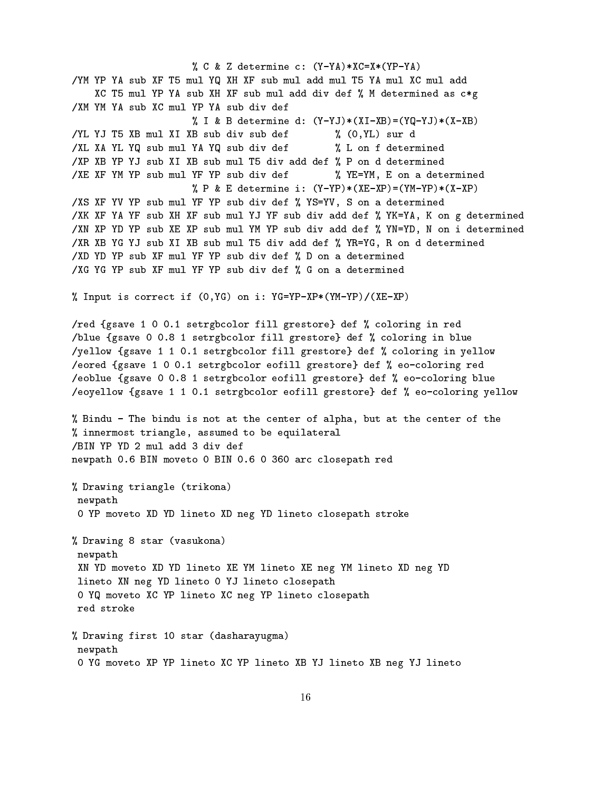% C & Z determine c: (Y-YA)\*XC=X\*(YP-YA) /YM YP YA sub XF T5 mul YQ XH XF sub mul add mul T5 YA mul XC mul add XC T5 mul YP YA sub XH XF sub mul add div def % M determined as c\*g /XM YM YA sub XC mul YP YA sub div def % I & B determine d:  $(Y-YJ)*(XI-XB)=(YQ-YJ)*(X-XB)$ /YL YJ T5 XB mul XI XB sub div sub def % (0,YL) sur d % L on f determined /XL XA YL YQ sub mul YA YQ sub div def /XP XB YP YJ sub XI XB sub mul T5 div add def % P on d determined /XE XF YM YP sub mul YF YP sub div def % YE=YM, E on a determined % P & E determine i:  $(Y-YP)*(XE-XP)=(YM-YP)*(X-XP)$ /XS XF YV YP sub mul YF YP sub div def % YS=YV, S on a determined /XK XF YA YF sub XH XF sub mul YJ YF sub div add def % YK=YA, K on g determined /XN XP YD YP sub XE XP sub mul YM YP sub div add def % YN=YD, N on i determined /XR XB YG YJ sub XI XB sub mul T5 div add def % YR=YG, R on d determined /XD YD YP sub XF mul YF YP sub div def % D on a determined /XG YG YP sub XF mul YF YP sub div def % G on a determined % Input is correct if (0, YG) on i: YG=YP-XP\*(YM-YP)/(XE-XP) /red {gsave 1 0 0.1 setrgbcolor fill grestore} def % coloring in red /blue {gsave 0 0.8 1 setrgbcolor fill grestore} def % coloring in blue /yellow {gsave 1 1 0.1 setrgbcolor fill grestore} def % coloring in yellow /eored {gsave 1 0 0.1 setrgbcolor eofill grestore} def % eo-coloring red /eoblue {gsave 0 0.8 1 setrgbcolor eofill grestore} def % eo-coloring blue /eoyellow {gsave 1 1 0.1 setrgbcolor eofill grestore} def % eo-coloring yellow % Bindu - The bindu is not at the center of alpha, but at the center of the % innermost triangle, assumed to be equilateral /BIN YP YD 2 mul add 3 div def newpath 0.6 BIN moveto 0 BIN 0.6 0 360 arc closepath red % Drawing triangle (trikona) newpath O YP moveto XD YD lineto XD neg YD lineto closepath stroke % Drawing 8 star (vasukona) newpath XN YD moveto XD YD lineto XE YM lineto XE neg YM lineto XD neg YD lineto XN neg YD lineto O YJ lineto closepath O YQ moveto XC YP lineto XC neg YP lineto closepath red stroke % Drawing first 10 star (dasharayugma) newpath O YG moveto XP YP lineto XC YP lineto XB YJ lineto XB neg YJ lineto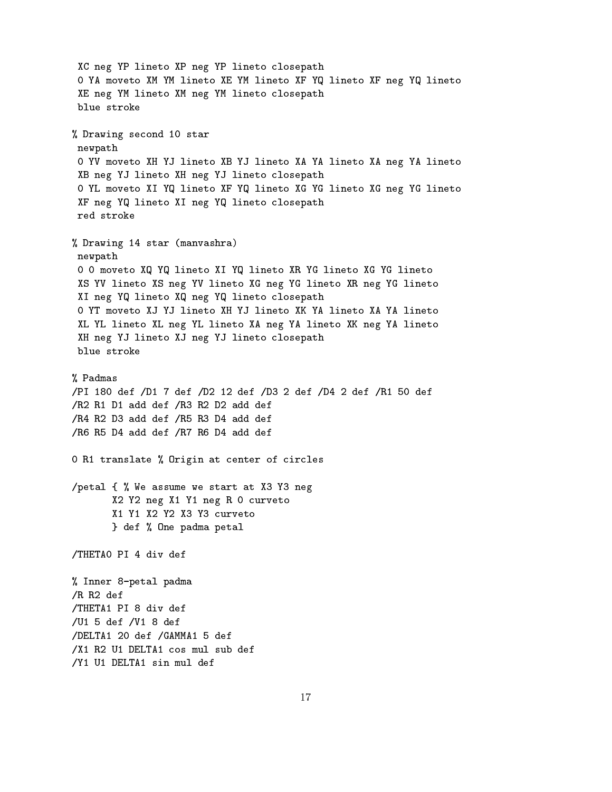XC neg YP lineto XP neg YP lineto closepath O YA moveto XM YM lineto XE YM lineto XF YQ lineto XF neg YQ lineto XE neg YM lineto XM neg YM lineto closepath blue stroke % Drawing second 10 star newpath O YV moveto XH YJ lineto XB YJ lineto XA YA lineto XA neg YA lineto XB neg YJ lineto XH neg YJ lineto closepath O YL moveto XI YQ lineto XF YQ lineto XG YG lineto XG neg YG lineto XF neg YQ lineto XI neg YQ lineto closepath red stroke % Drawing 14 star (manvashra) newpath 0 0 moveto XQ YQ lineto XI YQ lineto XR YG lineto XG YG lineto XS YV lineto XS neg YV lineto XG neg YG lineto XR neg YG lineto XI neg YQ lineto XQ neg YQ lineto closepath O YT moveto XJ YJ lineto XH YJ lineto XK YA lineto XA YA lineto XL YL lineto XL neg YL lineto XA neg YA lineto XK neg YA lineto XH neg YJ lineto XJ neg YJ lineto closepath blue stroke % Padmas /PI 180 def /D1 7 def /D2 12 def /D3 2 def /D4 2 def /R1 50 def /R2 R1 D1 add def /R3 R2 D2 add def /R4 R2 D3 add def /R5 R3 D4 add def /R6 R5 D4 add def /R7 R6 D4 add def 0 R1 translate % Origin at center of circles /petal { % We assume we start at X3 Y3 neg X2 Y2 neg X1 Y1 neg R 0 curveto X1 Y1 X2 Y2 X3 Y3 curveto } def % One padma petal /THETAO PI 4 div def % Inner 8-petal padma /R R2 def /THETA1 PI 8 div def /U1 5 def /V1 8 def /DELTA1 20 def /GAMMA1 5 def /X1 R2 U1 DELTA1 cos mul sub def /Y1 U1 DELTA1 sin mul def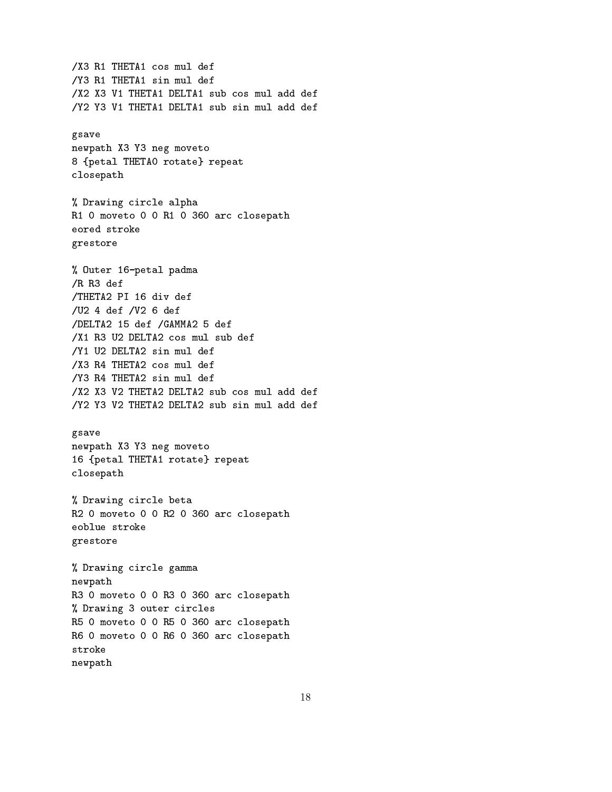/X3 R1 THETA1 cos mul def /Y3 R1 THETA1 sin mul def /X2 X3 V1 THETA1 DELTA1 sub cos mul add def /Y2 Y3 V1 THETA1 DELTA1 sub sin mul add def gsave newpath X3 Y3 neg moveto 8 {petal THETAO rotate} repeat closepath % Drawing circle alpha R1 0 moveto 0 0 R1 0 360 arc closepath eored stroke grestore % Outer 16-petal padma  $/R$   $R3$  def /THETA2 PI 16 div def /U2 4 def /V2 6 def /DELTA2 15 def /GAMMA2 5 def /X1 R3 U2 DELTA2 cos mul sub def /Y1 U2 DELTA2 sin mul def /X3 R4 THETA2 cos mul def /Y3 R4 THETA2 sin mul def /X2 X3 V2 THETA2 DELTA2 sub cos mul add def /Y2 Y3 V2 THETA2 DELTA2 sub sin mul add def gsave newpath X3 Y3 neg moveto 16 {petal THETA1 rotate} repeat closepath % Drawing circle beta R2 0 moveto 0 0 R2 0 360 arc closepath eoblue stroke grestore % Drawing circle gamma newpath R3 0 moveto 0 0 R3 0 360 arc closepath % Drawing 3 outer circles R5 0 moveto 0 0 R5 0 360 arc closepath R6 0 moveto 0 0 R6 0 360 arc closepath stroke newpath